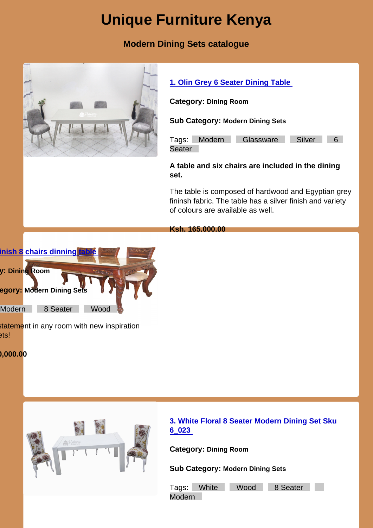## Unique Furniture Kenya

Modern Dining Sets catalogue

|         |                                            | 1. Olin Grey 6 Seater Dining Table                                                                                                                    |
|---------|--------------------------------------------|-------------------------------------------------------------------------------------------------------------------------------------------------------|
|         |                                            | Category: Dining Room                                                                                                                                 |
|         |                                            | Sub Category: Modern Dining Sets                                                                                                                      |
|         |                                            | Silver<br>Tags:<br>Modern<br>Glassware<br>$6^{\circ}$<br>Seater                                                                                       |
|         |                                            | A table and six chairs are included in the dining<br>set.                                                                                             |
|         |                                            | The table is composed of hardwood and Egyptian grey<br>fininsh fabric. The table has a silver finish and variety<br>of colours are available as well. |
|         |                                            | Ksh. 165,000.00                                                                                                                                       |
|         | nish 8 chairs dinning table                |                                                                                                                                                       |
|         | : Dining Room                              |                                                                                                                                                       |
|         | <b>Pgory:</b> Modern Dining Sets           |                                                                                                                                                       |
| Modern  | 8 Seater<br>Wood                           |                                                                                                                                                       |
| ets!    | statement in any room with new inspiration |                                                                                                                                                       |
| ,000.00 |                                            |                                                                                                                                                       |
|         |                                            |                                                                                                                                                       |
|         |                                            |                                                                                                                                                       |
|         |                                            |                                                                                                                                                       |
|         |                                            | 3. White Floral 8 Seater Modern Dining Set Sku<br>6023                                                                                                |
|         |                                            | Category: Dining Room                                                                                                                                 |
|         |                                            | Sub Category: Modern Dining Sets                                                                                                                      |
|         |                                            | White<br>Wood<br>8 Seater<br>Tags:<br>Modern                                                                                                          |
|         |                                            |                                                                                                                                                       |